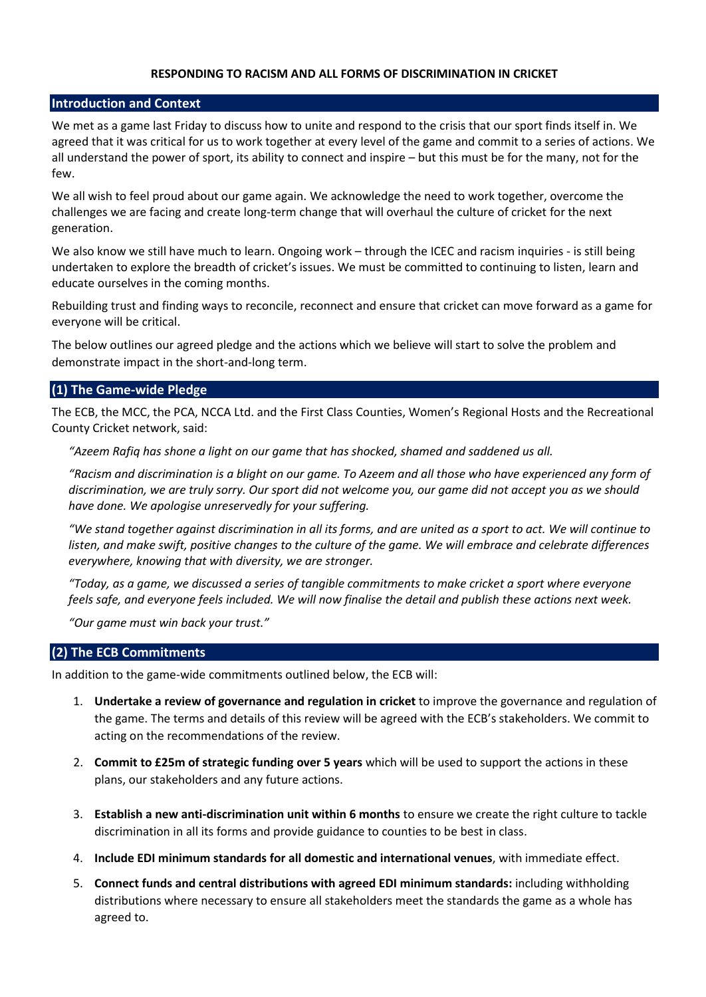#### **RESPONDING TO RACISM AND ALL FORMS OF DISCRIMINATION IN CRICKET**

#### **Introduction and Context**

We met as a game last Friday to discuss how to unite and respond to the crisis that our sport finds itself in. We agreed that it was critical for us to work together at every level of the game and commit to a series of actions. We all understand the power of sport, its ability to connect and inspire – but this must be for the many, not for the few.

We all wish to feel proud about our game again. We acknowledge the need to work together, overcome the challenges we are facing and create long-term change that will overhaul the culture of cricket for the next generation.

We also know we still have much to learn. Ongoing work – through the ICEC and racism inquiries - is still being undertaken to explore the breadth of cricket's issues. We must be committed to continuing to listen, learn and educate ourselves in the coming months.

Rebuilding trust and finding ways to reconcile, reconnect and ensure that cricket can move forward as a game for everyone will be critical.

The below outlines our agreed pledge and the actions which we believe will start to solve the problem and demonstrate impact in the short-and-long term.

# **(1) The Game-wide Pledge**

The ECB, the MCC, the PCA, NCCA Ltd. and the First Class Counties, Women's Regional Hosts and the Recreational County Cricket network, said:

*"Azeem Rafiq has shone a light on our game that has shocked, shamed and saddened us all.*

*"Racism and discrimination is a blight on our game. To Azeem and all those who have experienced any form of discrimination, we are truly sorry. Our sport did not welcome you, our game did not accept you as we should have done. We apologise unreservedly for your suffering.*

*"We stand together against discrimination in all its forms, and are united as a sport to act. We will continue to listen, and make swift, positive changes to the culture of the game. We will embrace and celebrate differences everywhere, knowing that with diversity, we are stronger.*

*"Today, as a game, we discussed a series of tangible commitments to make cricket a sport where everyone feels safe, and everyone feels included. We will now finalise the detail and publish these actions next week.*

*"Our game must win back your trust."*

## **(2) The ECB Commitments**

In addition to the game-wide commitments outlined below, the ECB will:

- 1. **Undertake a review of governance and regulation in cricket** to improve the governance and regulation of the game. The terms and details of this review will be agreed with the ECB's stakeholders. We commit to acting on the recommendations of the review.
- 2. **Commit to £25m of strategic funding over 5 years** which will be used to support the actions in these plans, our stakeholders and any future actions.
- 3. **Establish a new anti-discrimination unit within 6 months** to ensure we create the right culture to tackle discrimination in all its forms and provide guidance to counties to be best in class.
- 4. **Include EDI minimum standards for all domestic and international venues**, with immediate effect.
- 5. **Connect funds and central distributions with agreed EDI minimum standards:** including withholding distributions where necessary to ensure all stakeholders meet the standards the game as a whole has agreed to.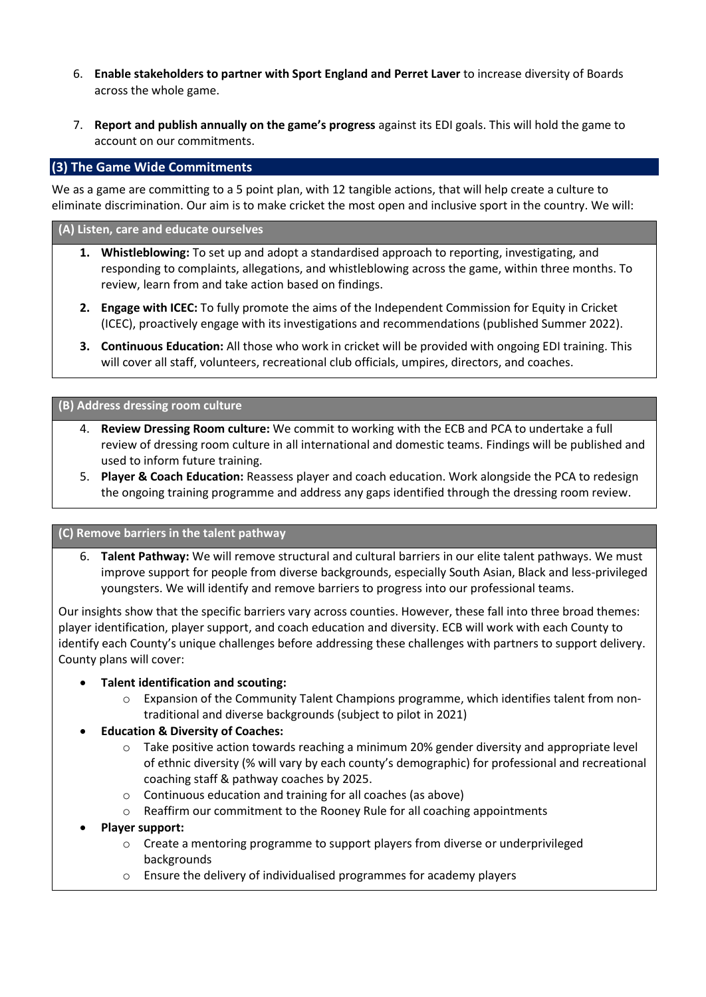- 6. **Enable stakeholders to partner with Sport England and Perret Laver** to increase diversity of Boards across the whole game.
- 7. **Report and publish annually on the game's progress** against its EDI goals. This will hold the game to account on our commitments.

# **(3) The Game Wide Commitments**

We as a game are committing to a 5 point plan, with 12 tangible actions, that will help create a culture to eliminate discrimination. Our aim is to make cricket the most open and inclusive sport in the country. We will:

#### **(A) Listen, care and educate ourselves**

- **1. Whistleblowing:** To set up and adopt a standardised approach to reporting, investigating, and responding to complaints, allegations, and whistleblowing across the game, within three months. To review, learn from and take action based on findings.
- **2. Engage with ICEC:** To fully promote the aims of the Independent Commission for Equity in Cricket (ICEC), proactively engage with its investigations and recommendations (published Summer 2022).
- **3. Continuous Education:** All those who work in cricket will be provided with ongoing EDI training. This will cover all staff, volunteers, recreational club officials, umpires, directors, and coaches.

### **(B) Address dressing room culture**

- 4. **Review Dressing Room culture:** We commit to working with the ECB and PCA to undertake a full review of dressing room culture in all international and domestic teams. Findings will be published and used to inform future training.
- 5. **Player & Coach Education:** Reassess player and coach education. Work alongside the PCA to redesign the ongoing training programme and address any gaps identified through the dressing room review.

## **(C) Remove barriers in the talent pathway**

6. **Talent Pathway:** We will remove structural and cultural barriers in our elite talent pathways. We must improve support for people from diverse backgrounds, especially South Asian, Black and less-privileged youngsters. We will identify and remove barriers to progress into our professional teams.

Our insights show that the specific barriers vary across counties. However, these fall into three broad themes: player identification, player support, and coach education and diversity. ECB will work with each County to identify each County's unique challenges before addressing these challenges with partners to support delivery. County plans will cover:

### • **Talent identification and scouting:**

 $\circ$  Expansion of the Community Talent Champions programme, which identifies talent from nontraditional and diverse backgrounds (subject to pilot in 2021)

### • **Education & Diversity of Coaches:**

- o Take positive action towards reaching a minimum 20% gender diversity and appropriate level of ethnic diversity (% will vary by each county's demographic) for professional and recreational coaching staff & pathway coaches by 2025.
- o Continuous education and training for all coaches (as above)
- o Reaffirm our commitment to the Rooney Rule for all coaching appointments
- **Player support:**
	- o Create a mentoring programme to support players from diverse or underprivileged backgrounds
	- o Ensure the delivery of individualised programmes for academy players